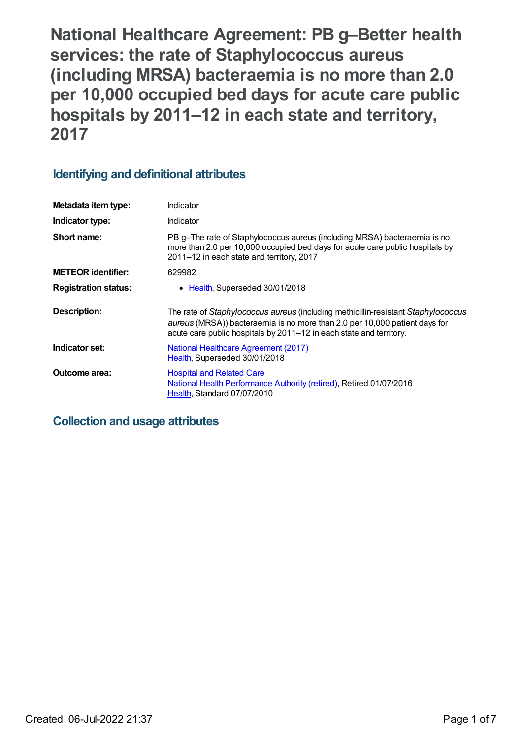**National Healthcare Agreement: PB g–Better health services: the rate of Staphylococcus aureus (including MRSA) bacteraemia is no more than 2.0 per 10,000 occupied bed days for acute care public hospitals by 2011–12 in each state and territory, 2017**

# **Identifying and definitional attributes**

| Metadata item type:         | Indicator                                                                                                                                                                                                                              |
|-----------------------------|----------------------------------------------------------------------------------------------------------------------------------------------------------------------------------------------------------------------------------------|
| Indicator type:             | Indicator                                                                                                                                                                                                                              |
| Short name:                 | PB g-The rate of Staphylococcus aureus (including MRSA) bacteraemia is no<br>more than 2.0 per 10,000 occupied bed days for acute care public hospitals by<br>2011-12 in each state and territory, 2017                                |
| <b>METEOR identifier:</b>   | 629982                                                                                                                                                                                                                                 |
| <b>Registration status:</b> | Health, Superseded 30/01/2018                                                                                                                                                                                                          |
| <b>Description:</b>         | The rate of Staphylococcus aureus (including methicillin-resistant Staphylococcus<br>aureus (MRSA)) bacteraemia is no more than 2.0 per 10,000 patient days for<br>acute care public hospitals by 2011–12 in each state and territory. |
| Indicator set:              | <b>National Healthcare Agreement (2017)</b><br>Health, Superseded 30/01/2018                                                                                                                                                           |
| <b>Outcome area:</b>        | <b>Hospital and Related Care</b><br>National Health Performance Authority (retired), Retired 01/07/2016<br>Health, Standard 07/07/2010                                                                                                 |

# **Collection and usage attributes**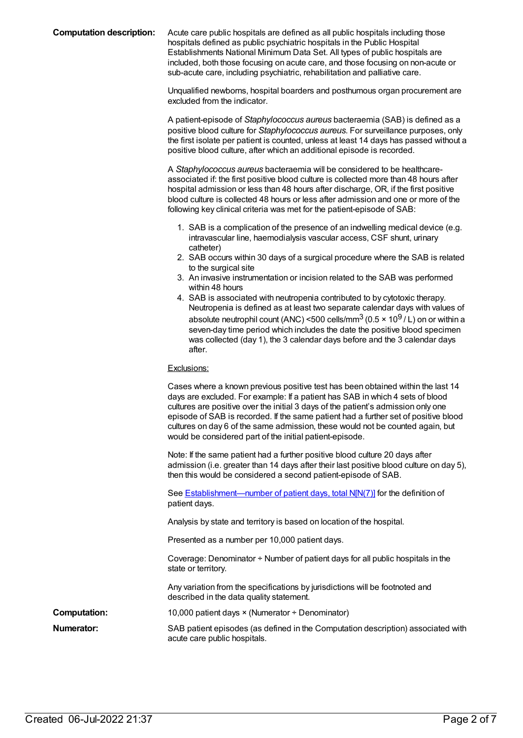**Computation description:** Acute care public hospitals are defined as all public hospitals including those hospitals defined as public psychiatric hospitals in the Public Hospital Establishments National Minimum Data Set. All types of public hospitals are included, both those focusing on acute care, and those focusing on non-acute or sub-acute care, including psychiatric, rehabilitation and palliative care.

> Unqualified newborns, hospital boarders and posthumous organ procurement are excluded from the indicator.

A patient-episode of *Staphylococcus aureus* bacteraemia (SAB) is defined as a positive blood culture for *Staphylococcus aureus*. For surveillance purposes, only the first isolate per patient is counted, unless at least 14 days has passed without a positive blood culture, after which an additional episode is recorded.

A *Staphylococcus aureus* bacteraemia will be considered to be healthcareassociated if: the first positive blood culture is collected more than 48 hours after hospital admission or less than 48 hours after discharge, OR, if the first positive blood culture is collected 48 hours or less after admission and one or more of the following key clinical criteria was met for the patient-episode of SAB:

- 1. SAB is a complication of the presence of an indwelling medical device (e.g. intravascular line, haemodialysis vascular access, CSF shunt, urinary catheter)
- 2. SAB occurs within 30 days of a surgical procedure where the SAB is related to the surgical site
- 3. An invasive instrumentation or incision related to the SAB was performed within 48 hours
- 4. SAB is associated with neutropenia contributed to by cytotoxic therapy. Neutropenia is defined as at least two separate calendar days with values of absolute neutrophil count (ANC) <500 cells/mm $^3$  (0.5 × 10 $^9$  / L) on or within a seven-day time period which includes the date the positive blood specimen was collected (day 1), the 3 calendar days before and the 3 calendar days after.

#### Exclusions:

|                     | Cases where a known previous positive test has been obtained within the last 14<br>days are excluded. For example: If a patient has SAB in which 4 sets of blood<br>cultures are positive over the initial 3 days of the patient's admission only one<br>episode of SAB is recorded. If the same patient had a further set of positive blood<br>cultures on day 6 of the same admission, these would not be counted again, but<br>would be considered part of the initial patient-episode. |
|---------------------|--------------------------------------------------------------------------------------------------------------------------------------------------------------------------------------------------------------------------------------------------------------------------------------------------------------------------------------------------------------------------------------------------------------------------------------------------------------------------------------------|
|                     | Note: If the same patient had a further positive blood culture 20 days after<br>admission (i.e. greater than 14 days after their last positive blood culture on day 5),<br>then this would be considered a second patient-episode of SAB.                                                                                                                                                                                                                                                  |
|                     | See <b>Establishment—number of patient days, total N[N(7)]</b> for the definition of<br>patient days.                                                                                                                                                                                                                                                                                                                                                                                      |
|                     | Analysis by state and territory is based on location of the hospital.                                                                                                                                                                                                                                                                                                                                                                                                                      |
|                     | Presented as a number per 10,000 patient days.                                                                                                                                                                                                                                                                                                                                                                                                                                             |
|                     | Coverage: Denominator $\div$ Number of patient days for all public hospitals in the<br>state or territory.                                                                                                                                                                                                                                                                                                                                                                                 |
|                     | Any variation from the specifications by jurisdictions will be footnoted and<br>described in the data quality statement.                                                                                                                                                                                                                                                                                                                                                                   |
| <b>Computation:</b> | 10,000 patient days × (Numerator ÷ Denominator)                                                                                                                                                                                                                                                                                                                                                                                                                                            |
| <b>Numerator:</b>   | SAB patient episodes (as defined in the Computation description) associated with<br>acute care public hospitals.                                                                                                                                                                                                                                                                                                                                                                           |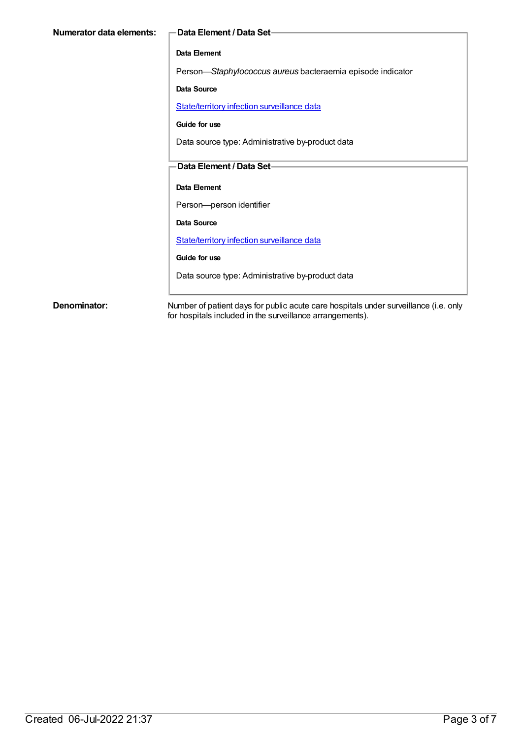| Numerator data elements: | -Data Element / Data Set-                                  |
|--------------------------|------------------------------------------------------------|
|                          | Data Element                                               |
|                          | Person-Staphylococcus aureus bacteraemia episode indicator |
|                          | Data Source                                                |
|                          | State/territory infection surveillance data                |
|                          | Guide for use                                              |
|                          | Data source type: Administrative by-product data           |
|                          | Data Element / Data Set-                                   |
|                          | Data Element                                               |
|                          | Person-person identifier                                   |
|                          | Data Source                                                |
|                          | State/territory infection surveillance data                |
|                          | Guide for use                                              |
|                          | Data source type: Administrative by-product data           |
|                          |                                                            |

**Denominator:** Number of patient days for public acute care hospitals under surveillance (i.e. only for hospitals included in the surveillance arrangements).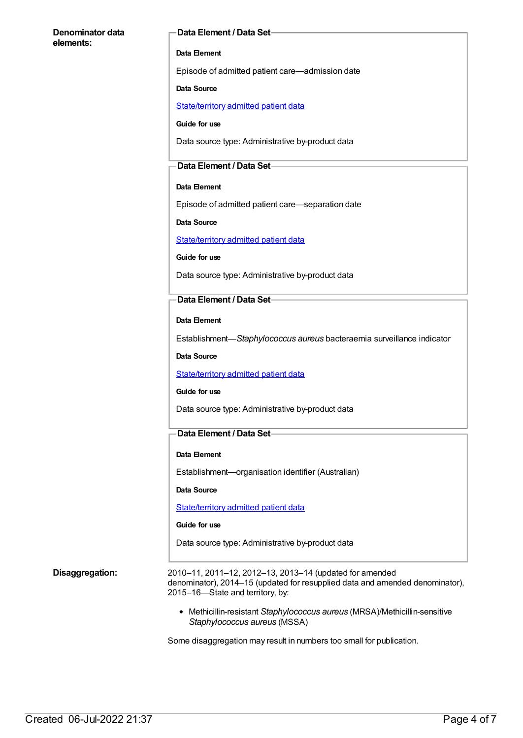#### **Denominator data elements:**

#### **Data Element / Data Set**

#### **Data Element**

Episode of admitted patient care—admission date

#### **Data Source**

[State/territory](https://meteor.aihw.gov.au/content/426458) admitted patient data

**Guide for use**

Data source type: Administrative by-product data

### **Data Element / Data Set**

#### **Data Element**

Episode of admitted patient care—separation date

**Data Source**

[State/territory](https://meteor.aihw.gov.au/content/426458) admitted patient data

**Guide for use**

Data source type: Administrative by-product data

### **Data Element / Data Set**

**Data Element**

Establishment—*Staphylococcus aureus* bacteraemia surveillance indicator

**Data Source**

[State/territory](https://meteor.aihw.gov.au/content/426458) admitted patient data

#### **Guide for use**

Data source type: Administrative by-product data

### **Data Element / Data Set**

#### **Data Element**

Establishment—organisation identifier (Australian)

**Data Source**

[State/territory](https://meteor.aihw.gov.au/content/426458) admitted patient data

#### **Guide for use**

Data source type: Administrative by-product data

**Disaggregation:** 2010–11, 2011–12, 2012–13, 2013–14 (updated for amended denominator), 2014–15 (updated for resupplied data and amended denominator), 2015–16—State and territory, by:

> Methicillin-resistant *Staphylococcus aureus* (MRSA)/Methicillin-sensitive *Staphylococcus aureus* (MSSA)

Some disaggregation may result in numbers too small for publication.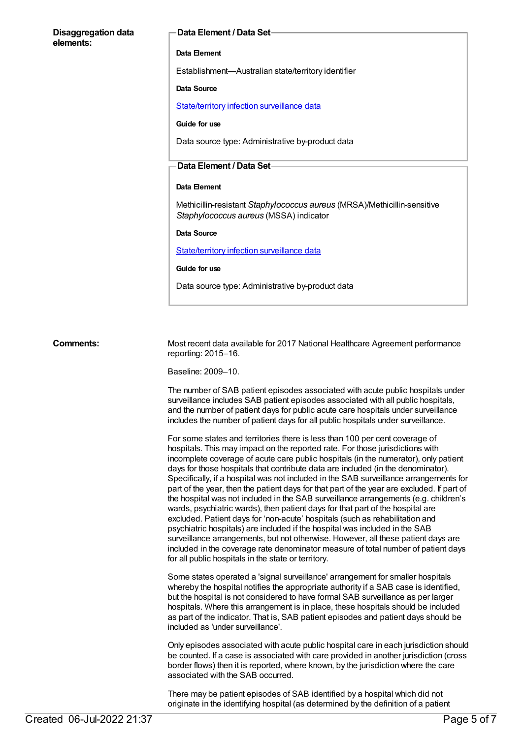#### **Disaggregation data elements:**

#### **Data Element / Data Set**

#### **Data Element**

Establishment—Australian state/territory identifier

#### **Data Source**

[State/territory](https://meteor.aihw.gov.au/content/402699) infection surveillance data

#### **Guide for use**

Data source type: Administrative by-product data

#### **Data Element / Data Set**

#### **Data Element**

Methicillin-resistant *Staphylococcus aureus* (MRSA)/Methicillin-sensitive *Staphylococcus aureus* (MSSA) indicator

#### **Data Source**

[State/territory](https://meteor.aihw.gov.au/content/402699) infection surveillance data

#### **Guide for use**

Data source type: Administrative by-product data

Comments: Most recent data available for 2017 National Healthcare Agreement performance reporting: 2015–16.

Baseline: 2009–10.

The number of SAB patient episodes associated with acute public hospitals under surveillance includes SAB patient episodes associated with all public hospitals, and the number of patient days for public acute care hospitals under surveillance includes the number of patient days for all public hospitals under surveillance.

For some states and territories there is less than 100 per cent coverage of hospitals. This may impact on the reported rate. For those jurisdictions with incomplete coverage of acute care public hospitals (in the numerator), only patient days for those hospitals that contribute data are included (in the denominator). Specifically, if a hospital was not included in the SAB surveillance arrangements for part of the year, then the patient days for that part of the year are excluded. If part of the hospital was not included in the SAB surveillance arrangements (e.g. children's wards, psychiatric wards), then patient days for that part of the hospital are excluded. Patient days for 'non-acute' hospitals (such as rehabilitation and psychiatric hospitals) are included if the hospital was included in the SAB surveillance arrangements, but not otherwise. However, all these patient days are included in the coverage rate denominator measure of total number of patient days for all public hospitals in the state or territory.

Some states operated a 'signal surveillance' arrangement for smaller hospitals whereby the hospital notifies the appropriate authority if a SAB case is identified, but the hospital is not considered to have formal SAB surveillance as per larger hospitals. Where this arrangement is in place, these hospitals should be included as part of the indicator. That is, SAB patient episodes and patient days should be included as 'under surveillance'.

Only episodes associated with acute public hospital care in each jurisdiction should be counted. If a case is associated with care provided in another jurisdiction (cross border flows) then it is reported, where known, by the jurisdiction where the care associated with the SAB occurred.

There may be patient episodes of SAB identified by a hospital which did not originate in the identifying hospital (as determined by the definition of a patient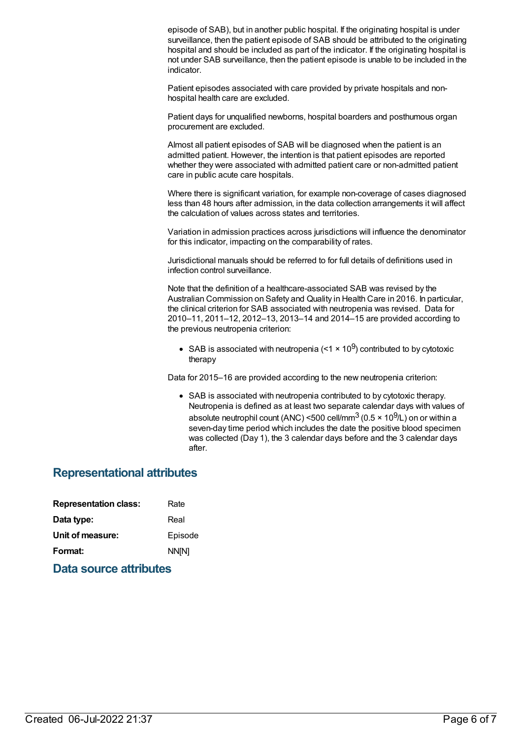episode of SAB), but in another public hospital. If the originating hospital is under surveillance, then the patient episode of SAB should be attributed to the originating hospital and should be included as part of the indicator. If the originating hospital is not under SAB surveillance, then the patient episode is unable to be included in the indicator.

Patient episodes associated with care provided by private hospitals and nonhospital health care are excluded.

Patient days for unqualified newborns, hospital boarders and posthumous organ procurement are excluded.

Almost all patient episodes of SAB will be diagnosed when the patient is an admitted patient. However, the intention is that patient episodes are reported whether they were associated with admitted patient care or non-admitted patient care in public acute care hospitals.

Where there is significant variation, for example non-coverage of cases diagnosed less than 48 hours after admission, in the data collection arrangements it will affect the calculation of values across states and territories.

Variation in admission practices across jurisdictions will influence the denominator for this indicator, impacting on the comparability of rates.

Jurisdictional manuals should be referred to for full details of definitions used in infection control surveillance.

Note that the definition of a healthcare-associated SAB was revised by the Australian Commission on Safety and Quality in Health Care in 2016. In particular, the clinical criterion for SAB associated with neutropenia was revised. Data for 2010–11, 2011–12, 2012–13, 2013–14 and 2014–15 are provided according to the previous neutropenia criterion:

SAB is associated with neutropenia (<1  $\times$  10<sup>9</sup>) contributed to by cytotoxic therapy

Data for 2015–16 are provided according to the new neutropenia criterion:

SAB is associated with neutropenia contributed to by cytotoxic therapy. Neutropenia is defined as at least two separate calendar days with values of absolute neutrophil count (ANC) <500 cell/mm $^3$  (0.5 × 10 $^9$ /L) on or within a seven-day time period which includes the date the positive blood specimen was collected (Day 1), the 3 calendar days before and the 3 calendar days after.

## **Representational attributes**

| <b>Representation class:</b> |  | Rate    |
|------------------------------|--|---------|
| Data type:                   |  | Real    |
| Unit of measure:             |  | Episode |
| Format:                      |  | NN[N]   |
|                              |  |         |

**Data source attributes**